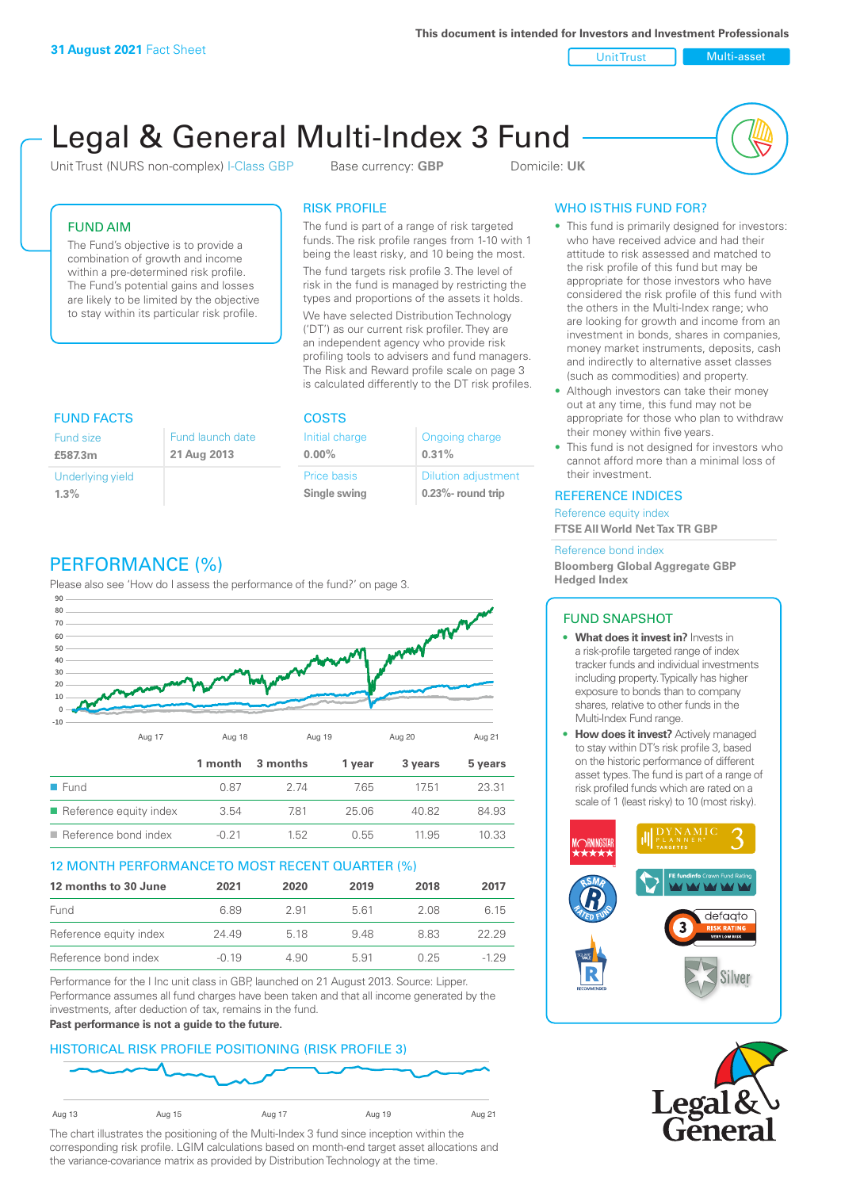**This document is intended for Investors and Investment Professionals**

Unit Trust Nulti-asset

# Legal & General Multi-Index 3 Fund

Unit Trust (NURS non-complex) I-Class GBP Base currency: **GBP** Domicile: UK



# FUND AIM

The Fund's objective is to provide a combination of growth and income within a pre-determined risk profile. The Fund's potential gains and losses are likely to be limited by the objective to stay within its particular risk profile.

### RISK PROFILE

The fund is part of a range of risk targeted funds. The risk profile ranges from 1-10 with 1 being the least risky, and 10 being the most.

The fund targets risk profile 3. The level of risk in the fund is managed by restricting the types and proportions of the assets it holds. We have selected Distribution Technology ('DT') as our current risk profiler. They are an independent agency who provide risk profiling tools to advisers and fund managers. The Risk and Reward profile scale on page 3 is calculated differently to the DT risk profiles.

| <b>FUND FACTS</b> |                  | <b>COSTS</b>   |                            |  |
|-------------------|------------------|----------------|----------------------------|--|
| <b>Fund size</b>  | Fund launch date | Initial charge | Ongoing charge             |  |
| £587.3m           | 21 Aug 2013      | $0.00\%$       | 0.31%                      |  |
| Underlying yield  |                  | Price basis    | <b>Dilution adjustment</b> |  |
| 1.3%              |                  | Single swing   | $0.23\%$ - round trip      |  |

# PERFORMANCE (%)

Please also see 'How do I assess the performance of the fund?' on page 3.



### 12 MONTH PERFORMANCE TO MOST RECENT QUARTER (%)

| 12 months to 30 June   | 2021    | 2020 | 2019 | 2018 | 2017   |
|------------------------|---------|------|------|------|--------|
| Fund                   | 6.89    | 2.91 | 561  | 2.08 | 6.15   |
| Reference equity index | 24.49   | 5 18 | 948  | 883  | 22.29  |
| Reference bond index   | $-0.19$ | 4.90 | 5.91 | 0.25 | $-129$ |

Performance for the I Inc unit class in GBP, launched on 21 August 2013. Source: Lipper. Performance assumes all fund charges have been taken and that all income generated by the investments, after deduction of tax, remains in the fund.

#### **Past performance is not a guide to the future.**

### HISTORICAL RISK PROFILE POSITIONING (RISK PROFILE 3)



The chart illustrates the positioning of the Multi-Index 3 fund since inception within the corresponding risk profile. LGIM calculations based on month-end target asset allocations and the variance-covariance matrix as provided by Distribution Technology at the time.

# WHO IS THIS FUND FOR?

- This fund is primarily designed for investors: who have received advice and had their attitude to risk assessed and matched to the risk profile of this fund but may be appropriate for those investors who have considered the risk profile of this fund with the others in the Multi-Index range; who are looking for growth and income from an investment in bonds, shares in companies, money market instruments, deposits, cash and indirectly to alternative asset classes (such as commodities) and property.
- Although investors can take their money out at any time, this fund may not be appropriate for those who plan to withdraw their money within five years.
- This fund is not designed for investors who cannot afford more than a minimal loss of their investment.

### REFERENCE INDICES

Reference equity index **FTSE All World Net Tax TR GBP**

#### Reference bond index

**Bloomberg Global Aggregate GBP Hedged Index**

### FUND SNAPSHOT

- **• What does it invest in?** Invests in a risk-profile targeted range of index tracker funds and individual investments including property. Typically has higher exposure to bonds than to company shares, relative to other funds in the Multi-Index Fund range.
- **• How does it invest?** Actively managed to stay within DT's risk profile 3, based on the historic performance of different asset types. The fund is part of a range of risk profiled funds which are rated on a scale of 1 (least risky) to 10 (most risky).



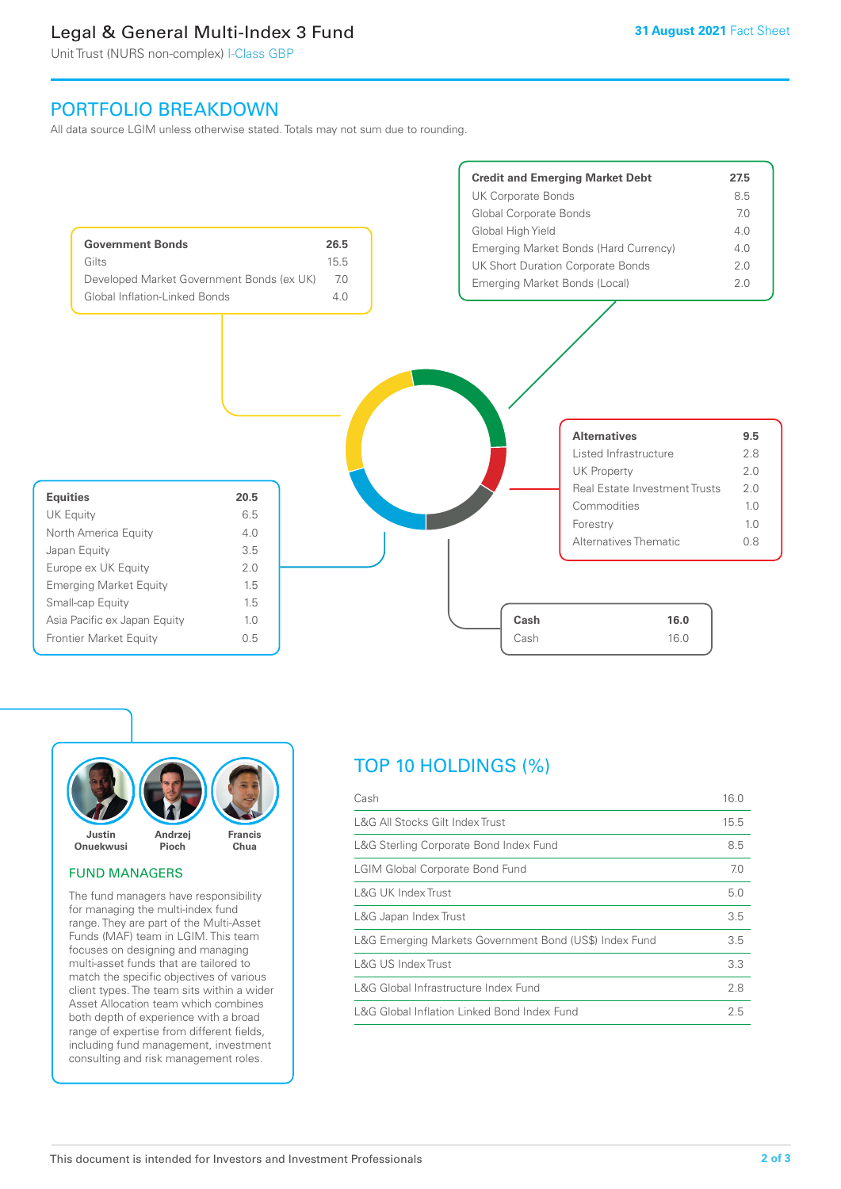# Legal & General Multi-Index 3 Fund

Unit Trust (NURS non-complex) I-Class GBP

# PORTFOLIO BREAKDOWN

All data source LGIM unless otherwise stated. Totals may not sum due to rounding.





### FUND MANAGERS

The fund managers have responsibility for managing the multi-index fund range. They are part of the Multi-Asset Funds (MAF) team in LGIM. This team focuses on designing and managing multi-asset funds that are tailored to match the specific objectives of various client types. The team sits within a wider Asset Allocation team which combines both depth of experience with a broad range of expertise from different fields, including fund management, investment consulting and risk management roles.

# TOP 10 HOLDINGS (%)

| Cash                                                   | 16.0 |
|--------------------------------------------------------|------|
| L&G All Stocks Gilt Index Trust                        | 15.5 |
| L&G Sterling Corporate Bond Index Fund                 | 8.5  |
| <b>LGIM Global Corporate Bond Fund</b>                 | 7.0  |
| L&G UK Index Trust                                     | 5.0  |
| L&G Japan Index Trust                                  | 3.5  |
| L&G Emerging Markets Government Bond (US\$) Index Fund | 3.5  |
| L&G US Index Trust                                     | 3.3  |
| L&G Global Infrastructure Index Fund                   | 2.8  |
| L&G Global Inflation Linked Bond Index Fund            | 2.5  |